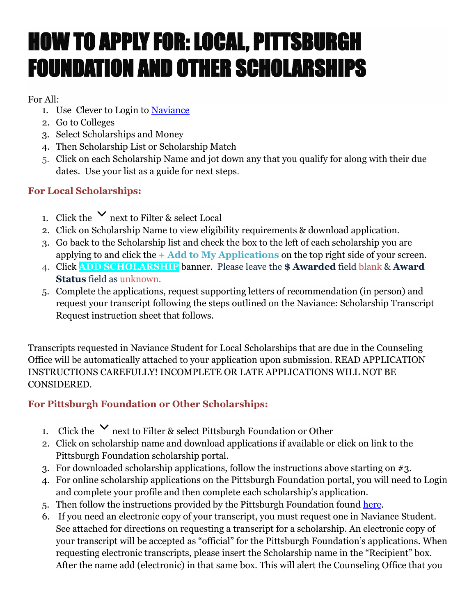# HOW TO APPLY FOR: LOCAL, PITTSBURGH FOUNDATION AND OTHER SCHOLARSHIPS

#### For All:

- 1. Use Clever to Login to [Naviance](https://www.mtlsd.org/academics/elementary/resources)
- 2. Go to Colleges
- 3. Select Scholarships and Money
- 4. Then Scholarship List or Scholarship Match
- 5. Click on each Scholarship Name and jot down any that you qualify for along with their due dates. Use your list as a guide for next steps.

### **For Local Scholarships:**

- 1. Click the  $\vee$  next to Filter & select Local
- 2. Click on Scholarship Name to view eligibility requirements & download application.
- 3. Go back to the Scholarship list and check the box to the left of each scholarship you are applying to and click the **+ Add to My Applications** on the top right side of your screen.
- 4. Click **ADD SCHOLARSHIP** banner. Please leave the **\$ Awarded** field blank & **Award Status** field as unknown.
- 5. Complete the applications, request supporting letters of recommendation (in person) and request your transcript following the steps outlined on the Naviance: Scholarship Transcript Request instruction sheet that follows.

Transcripts requested in Naviance Student for Local Scholarships that are due in the Counseling Office will be automatically attached to your application upon submission. READ APPLICATION INSTRUCTIONS CAREFULLY! INCOMPLETE OR LATE APPLICATIONS WILL NOT BE CONSIDERED.

## **For Pittsburgh Foundation or Other Scholarships:**

- 1. Click the  $\vee$  next to Filter & select Pittsburgh Foundation or Other
- 2. Click on scholarship name and download applications if available or click on link to the Pittsburgh Foundation scholarship portal.
- 3. For downloaded scholarship applications, follow the instructions above starting on #3.
- 4. For online scholarship applications on the Pittsburgh Foundation portal, you will need to Login and complete your profile and then complete each scholarship's application.
- 5. Then follow the instructions provided by the Pittsburgh Foundation found [here.](https://pittsburghfoundation.org/scholarships-how-to-apply)
- 6. If you need an electronic copy of your transcript, you must request one in Naviance Student. See attached for directions on requesting a transcript for a scholarship. An electronic copy of your transcript will be accepted as "official" for the Pittsburgh Foundation's applications. When requesting electronic transcripts, please insert the Scholarship name in the "Recipient" box. After the name add (electronic) in that same box. This will alert the Counseling Office that you